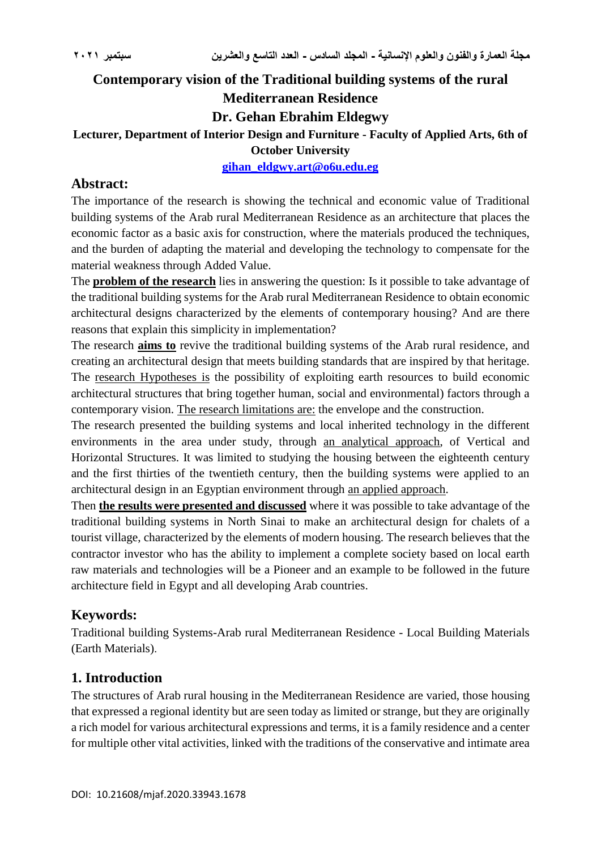# **Contemporary vision of the Traditional building systems of the rural Mediterranean Residence Dr. Gehan Ebrahim Eldegwy**

#### **Lecturer, Department of Interior Design and Furniture - Faculty of Applied Arts, 6th of October University**

**[gihan\\_eldgwy.art@o6u.edu.eg](mailto:gihan_eldgwy.art@o6u.edu.eg)**

## **Abstract:**

The importance of the research is showing the technical and economic value of Traditional building systems of the Arab rural Mediterranean Residence as an architecture that places the economic factor as a basic axis for construction, where the materials produced the techniques, and the burden of adapting the material and developing the technology to compensate for the material weakness through Added Value.

The **problem of the research** lies in answering the question: Is it possible to take advantage of the traditional building systems for the Arab rural Mediterranean Residence to obtain economic architectural designs characterized by the elements of contemporary housing? And are there reasons that explain this simplicity in implementation?

The research **aims to** revive the traditional building systems of the Arab rural residence, and creating an architectural design that meets building standards that are inspired by that heritage. The research Hypotheses is the possibility of exploiting earth resources to build economic architectural structures that bring together human, social and environmental) factors through a contemporary vision. The research limitations are: the envelope and the construction.

The research presented the building systems and local inherited technology in the different environments in the area under study, through an analytical approach, of Vertical and Horizontal Structures. It was limited to studying the housing between the eighteenth century and the first thirties of the twentieth century, then the building systems were applied to an architectural design in an Egyptian environment through an applied approach.

Then **the results were presented and discussed** where it was possible to take advantage of the traditional building systems in North Sinai to make an architectural design for chalets of a tourist village, characterized by the elements of modern housing. The research believes that the contractor investor who has the ability to implement a complete society based on local earth raw materials and technologies will be a Pioneer and an example to be followed in the future architecture field in Egypt and all developing Arab countries.

## **Keywords:**

Traditional building Systems-Arab rural Mediterranean Residence - Local Building Materials (Earth Materials).

## **1. Introduction**

The structures of Arab rural housing in the Mediterranean Residence are varied, those housing that expressed a regional identity but are seen today as limited or strange, but they are originally a rich model for various architectural expressions and terms, it is a family residence and a center for multiple other vital activities, linked with the traditions of the conservative and intimate area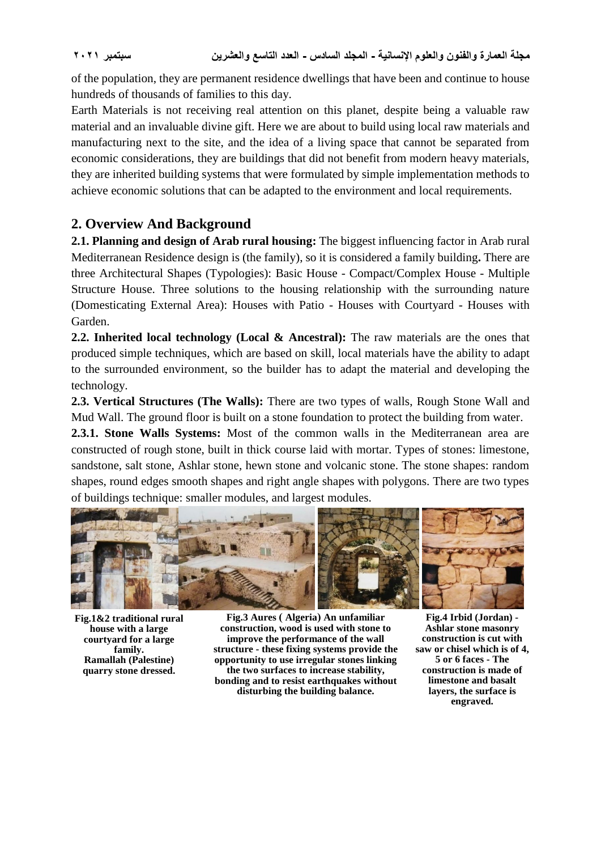of the population, they are permanent residence dwellings that have been and continue to house hundreds of thousands of families to this day.

Earth Materials is not receiving real attention on this planet, despite being a valuable raw material and an invaluable divine gift. Here we are about to build using local raw materials and manufacturing next to the site, and the idea of a living space that cannot be separated from economic considerations, they are buildings that did not benefit from modern heavy materials, they are inherited building systems that were formulated by simple implementation methods to achieve economic solutions that can be adapted to the environment and local requirements.

## **2. Overview And Background**

**2.1. Planning and design of Arab rural housing:** The biggest influencing factor in Arab rural Mediterranean Residence design is (the family), so it is considered a family building**.** There are three Architectural Shapes (Typologies): Basic House - Compact/Complex House - Multiple Structure House. Three solutions to the housing relationship with the surrounding nature (Domesticating External Area): Houses with Patio - Houses with Courtyard - Houses with Garden.

**2.2. Inherited local technology (Local & Ancestral):** The raw materials are the ones that produced simple techniques, which are based on skill, local materials have the ability to adapt to the surrounded environment, so the builder has to adapt the material and developing the technology.

**2.3. Vertical Structures (The Walls):** There are two types of walls, Rough Stone Wall and Mud Wall. The ground floor is built on a stone foundation to protect the building from water.

**2.3.1. Stone Walls Systems:** Most of the common walls in the Mediterranean area are constructed of rough stone, built in thick course laid with mortar. Types of stones: limestone, sandstone, salt stone, Ashlar stone, hewn stone and volcanic stone. The stone shapes: random shapes, round edges smooth shapes and right angle shapes with polygons. There are two types of buildings technique: smaller modules, and largest modules.



**Fig.1&2 traditional rural house with a large courtyard for a large family. Ramallah (Palestine) quarry stone dressed.**

**Fig.3 Aures ) Algeria( An unfamiliar construction, wood is used with stone to improve the performance of the wall structure - these fixing systems provide the opportunity to use irregular stones linking the two surfaces to increase stability, bonding and to resist earthquakes without disturbing the building balance.**

**Fig.4 Irbid (Jordan) - Ashlar stone masonry construction is cut with saw or chisel which is of 4, 5 or 6 faces - The construction is made of limestone and basalt layers, the surface is engraved.**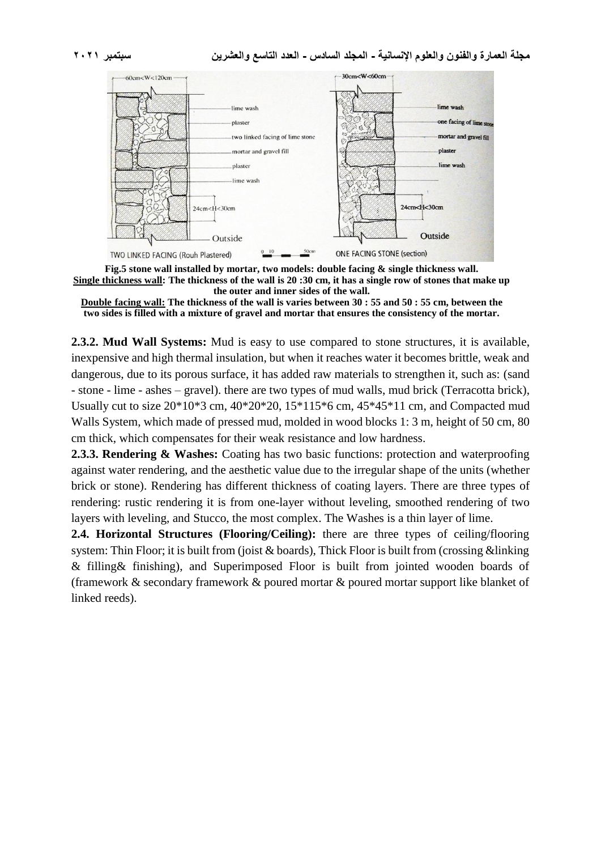

**Fig.5 stone wall installed by mortar, two models: double facing & single thickness wall. Single thickness wall: The thickness of the wall is 20 :30 cm, it has a single row of stones that make up the outer and inner sides of the wall.**

**Double facing wall: The thickness of the wall is varies between 30 : 55 and 50 : 55 cm, between the two sides is filled with a mixture of gravel and mortar that ensures the consistency of the mortar.**

**2.3.2. Mud Wall Systems:** Mud is easy to use compared to stone structures, it is available, inexpensive and high thermal insulation, but when it reaches water it becomes brittle, weak and dangerous, due to its porous surface, it has added raw materials to strengthen it, such as: (sand - stone - lime - ashes – gravel). there are two types of mud walls, mud brick (Terracotta brick), Usually cut to size 20\*10\*3 cm, 40\*20\*20, 15\*115\*6 cm, 45\*45\*11 cm, and Compacted mud Walls System, which made of pressed mud, molded in wood blocks 1: 3 m, height of 50 cm, 80 cm thick, which compensates for their weak resistance and low hardness.

2.3.3. Rendering & Washes: Coating has two basic functions: protection and waterproofing against water rendering, and the aesthetic value due to the irregular shape of the units (whether brick or stone). Rendering has different thickness of coating layers. There are three types of rendering: rustic rendering it is from one-layer without leveling, smoothed rendering of two layers with leveling, and Stucco, the most complex. The Washes is a thin layer of lime.

**2.4. Horizontal Structures (Flooring/Ceiling):** there are three types of ceiling/flooring system: Thin Floor; it is built from (joist & boards), Thick Floor is built from (crossing &linking & filling& finishing), and Superimposed Floor is built from jointed wooden boards of (framework & secondary framework & poured mortar & poured mortar support like blanket of linked reeds).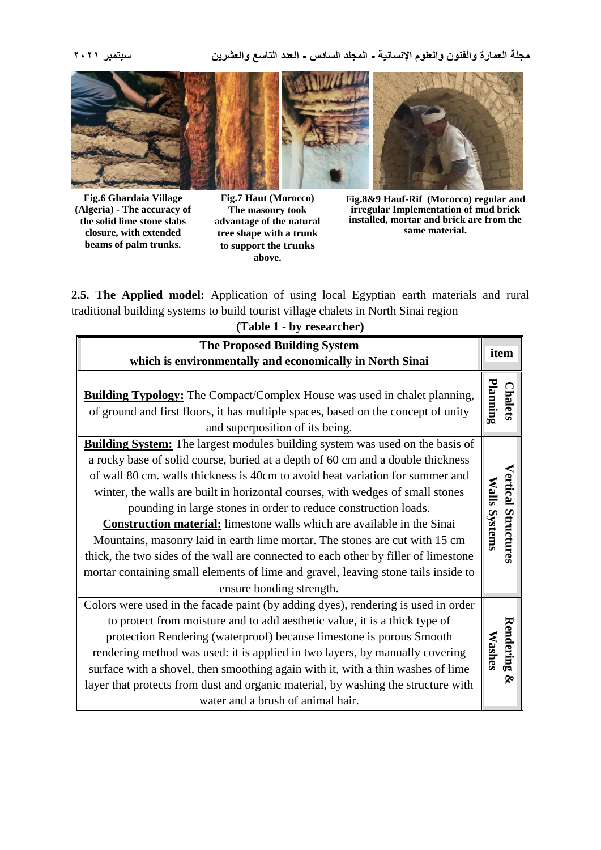**مجلة العمارة والفنون والعلوم اإلنسانية - المجلد السادس - العدد التاسع والعشرين سبتمبر 2021**



**Fig.6 Ghardaia Village (Algeria) - The accuracy of the solid lime stone slabs closure, with extended beams of palm trunks.**

**Fig.7 Haut (Morocco) The masonry took advantage of the natural tree shape with a trunk to support the trunks above.**

**Fig.8&9 Hauf-Rif (Morocco) regular and irregular Implementation of mud brick installed, mortar and brick are from the same material.**

**2.5. The Applied model:** Application of using local Egyptian earth materials and rural traditional building systems to build tourist village chalets in North Sinai region

| (Table 1 - by researcher)                                                                                                                                                                                                                                                                                                                                                                                                                                                                                                                                                                                                                                                                                                                                                               |                                             |
|-----------------------------------------------------------------------------------------------------------------------------------------------------------------------------------------------------------------------------------------------------------------------------------------------------------------------------------------------------------------------------------------------------------------------------------------------------------------------------------------------------------------------------------------------------------------------------------------------------------------------------------------------------------------------------------------------------------------------------------------------------------------------------------------|---------------------------------------------|
| <b>The Proposed Building System</b>                                                                                                                                                                                                                                                                                                                                                                                                                                                                                                                                                                                                                                                                                                                                                     | item                                        |
| which is environmentally and economically in North Sinai                                                                                                                                                                                                                                                                                                                                                                                                                                                                                                                                                                                                                                                                                                                                |                                             |
| <b>Building Typology:</b> The Compact/Complex House was used in chalet planning,<br>of ground and first floors, it has multiple spaces, based on the concept of unity<br>and superposition of its being.                                                                                                                                                                                                                                                                                                                                                                                                                                                                                                                                                                                | Planning<br><b>Chalets</b>                  |
| <b>Building System:</b> The largest modules building system was used on the basis of<br>a rocky base of solid course, buried at a depth of 60 cm and a double thickness<br>of wall 80 cm. walls thickness is 40cm to avoid heat variation for summer and<br>winter, the walls are built in horizontal courses, with wedges of small stones<br>pounding in large stones in order to reduce construction loads.<br><b>Construction material:</b> limestone walls which are available in the Sinai<br>Mountains, masonry laid in earth lime mortar. The stones are cut with 15 cm<br>thick, the two sides of the wall are connected to each other by filler of limestone<br>mortar containing small elements of lime and gravel, leaving stone tails inside to<br>ensure bonding strength. | <b>Vertical Structures</b><br>Walls Systems |
| Colors were used in the facade paint (by adding dyes), rendering is used in order<br>to protect from moisture and to add aesthetic value, it is a thick type of<br>protection Rendering (waterproof) because limestone is porous Smooth<br>rendering method was used: it is applied in two layers, by manually covering<br>surface with a shovel, then smoothing again with it, with a thin washes of lime<br>layer that protects from dust and organic material, by washing the structure with<br>water and a brush of animal hair.                                                                                                                                                                                                                                                    | Rendering &<br><b>Washes</b>                |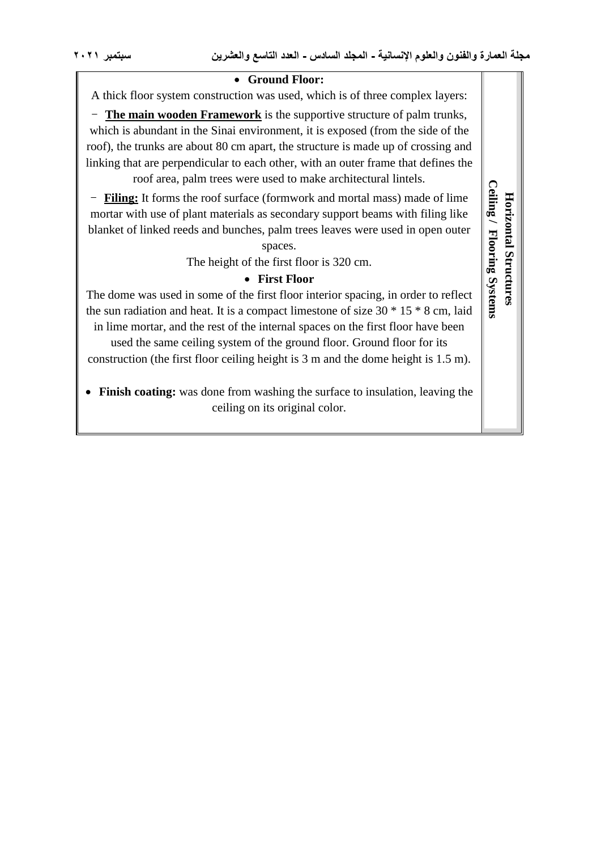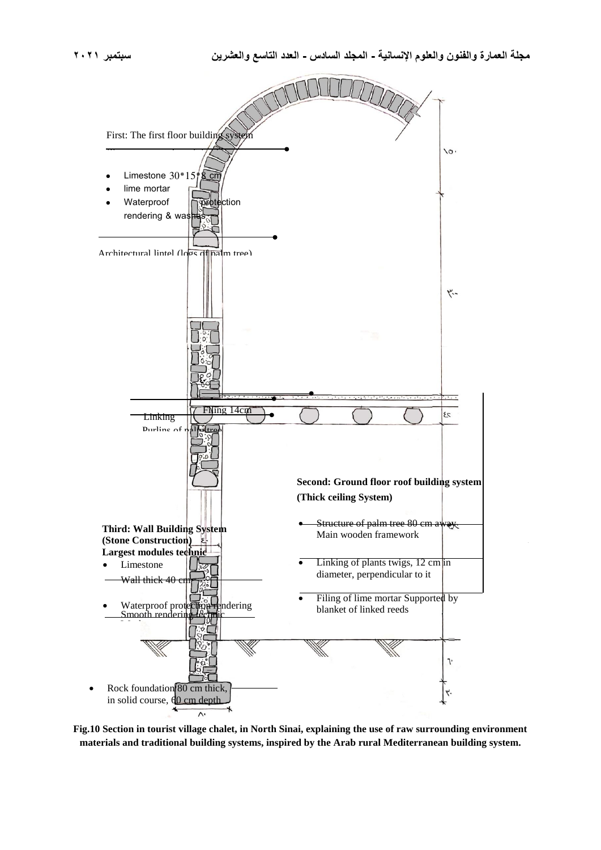$\overline{\phantom{a}}$ 



**Fig.10 Section in tourist village chalet, in North Sinai, explaining the use of raw surrounding environment materials and traditional building systems, inspired by the Arab rural Mediterranean building system.**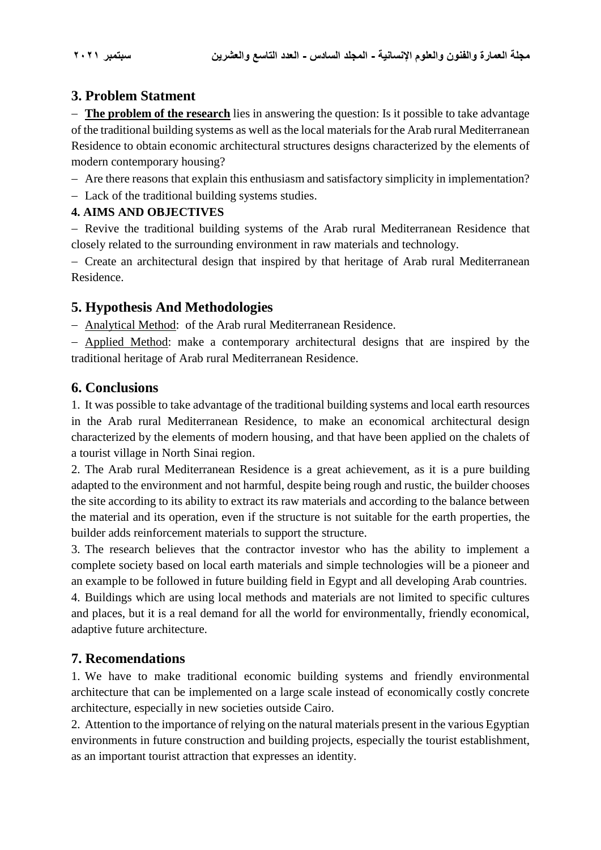## **3. Problem Statment**

 **The problem of the research** lies in answering the question: Is it possible to take advantage of the traditional building systems as well as the local materials for the Arab rural Mediterranean Residence to obtain economic architectural structures designs characterized by the elements of modern contemporary housing?

Are there reasons that explain this enthusiasm and satisfactory simplicity in implementation?

Lack of the traditional building systems studies.

#### **4. AIMS AND OBJECTIVES**

- Revive the traditional building systems of the Arab rural Mediterranean Residence that closely related to the surrounding environment in raw materials and technology.

 Create an architectural design that inspired by that heritage of Arab rural Mediterranean Residence.

# **5. Hypothesis And Methodologies**

Analytical Method: of the Arab rural Mediterranean Residence.

 Applied Method: make a contemporary architectural designs that are inspired by the traditional heritage of Arab rural Mediterranean Residence.

#### **6. Conclusions**

1. It was possible to take advantage of the traditional building systems and local earth resources in the Arab rural Mediterranean Residence, to make an economical architectural design characterized by the elements of modern housing, and that have been applied on the chalets of a tourist village in North Sinai region.

2. The Arab rural Mediterranean Residence is a great achievement, as it is a pure building adapted to the environment and not harmful, despite being rough and rustic, the builder chooses the site according to its ability to extract its raw materials and according to the balance between the material and its operation, even if the structure is not suitable for the earth properties, the builder adds reinforcement materials to support the structure.

3. The research believes that the contractor investor who has the ability to implement a complete society based on local earth materials and simple technologies will be a pioneer and an example to be followed in future building field in Egypt and all developing Arab countries. 4. Buildings which are using local methods and materials are not limited to specific cultures and places, but it is a real demand for all the world for environmentally, friendly economical, adaptive future architecture.

## **7. Recomendations**

1. We have to make traditional economic building systems and friendly environmental architecture that can be implemented on a large scale instead of economically costly concrete architecture, especially in new societies outside Cairo.

2. Attention to the importance of relying on the natural materials present in the various Egyptian environments in future construction and building projects, especially the tourist establishment, as an important tourist attraction that expresses an identity.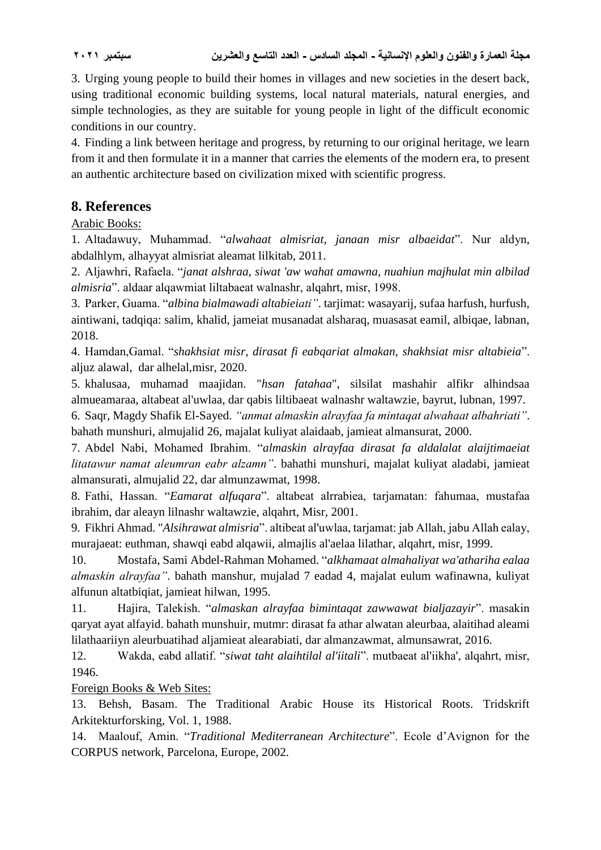3. Urging young people to build their homes in villages and new societies in the desert back, using traditional economic building systems, local natural materials, natural energies, and simple technologies, as they are suitable for young people in light of the difficult economic conditions in our country.

4. Finding a link between heritage and progress, by returning to our original heritage, we learn from it and then formulate it in a manner that carries the elements of the modern era, to present an authentic architecture based on civilization mixed with scientific progress.

## **8. References**

Arabic Books:

1. Altadawuy, Muhammad. "*alwahaat almisriat, janaan misr albaeidat*". Nur aldyn, abdalhlym, alhayyat almisriat aleamat lilkitab, 2011.

2. Aljawhri, Rafaela. "*janat alshraa, siwat 'aw wahat amawna, nuahiun majhulat min albilad almisria*". aldaar alqawmiat liltabaeat walnashr, alqahrt, misr, 1998.

3. Parker, Guama. "*albina bialmawadi altabieiati"*. tarjimat: wasayarij, sufaa harfush, hurfush, aintiwani, tadqiqa: salim, khalid, jameiat musanadat alsharaq, muasasat eamil, albiqae, labnan, 2018.

4. Hamdan,Gamal. "*shakhsiat misr, dirasat fi eabqariat almakan, shakhsiat misr altabieia*". aljuz alawal, dar alhelal,misr, 2020.

5. khalusaa, muhamad maajidan. "*hsan fatahaa*", silsilat mashahir alfikr alhindsaa almueamaraa, altabeat al'uwlaa, dar qabis liltibaeat walnashr waltawzie, bayrut, lubnan, 1997.

6. Saqr, Magdy Shafik El-Sayed. *"anmat almaskin alrayfaa fa mintaqat alwahaat albahriati"*. bahath munshuri, almujalid 26, majalat kuliyat alaidaab, jamieat almansurat, 2000.

7. Abdel Nabi, Mohamed Ibrahim. "*almaskin alrayfaa dirasat fa aldalalat alaijtimaeiat litatawur namat aleumran eabr alzamn"*. bahathi munshuri, majalat kuliyat aladabi, jamieat almansurati, almujalid 22, dar almunzawmat, 1998.

8. Fathi, Hassan. "*Eamarat alfuqara*". altabeat alrrabiea, tarjamatan: fahumaa, mustafaa ibrahim, dar aleayn lilnashr waltawzie, alqahrt, Misr, 2001.

9. Fikhri Ahmad. "*Alsihrawat almisria*". altibeat al'uwlaa, tarjamat: jab Allah, jabu Allah ealay, murajaeat: euthman, shawqi eabd alqawii, almajlis al'aelaa lilathar, alqahrt, misr, 1999.

10. Mostafa, Sami Abdel-Rahman Mohamed. "*alkhamaat almahaliyat wa'athariha ealaa almaskin alrayfaa"*. bahath manshur, mujalad 7 eadad 4, majalat eulum wafinawna, kuliyat alfunun altatbiqiat, jamieat hilwan, 1995.

11. Hajira, Talekish. "*almaskan alrayfaa bimintaqat zawwawat bialjazayir*". masakin qaryat ayat alfayid. bahath munshuir, mutmr: dirasat fa athar alwatan aleurbaa, alaitihad aleami lilathaariiyn aleurbuatihad aljamieat alearabiati, dar almanzawmat, almunsawrat, 2016.

12. Wakda, eabd allatif. "*siwat taht alaihtilal al'iitali*". mutbaeat al'iikha', alqahrt, misr, 1946.

Foreign Books & Web Sites:

13. Behsh, Basam. The Traditional Arabic House its Historical Roots. Tridskrift Arkitekturforsking, Vol. 1, 1988.

14. Maalouf, Amin. "*Traditional Mediterranean Architecture*". Ecole d'Avignon for the CORPUS network, Parcelona, Europe, 2002.